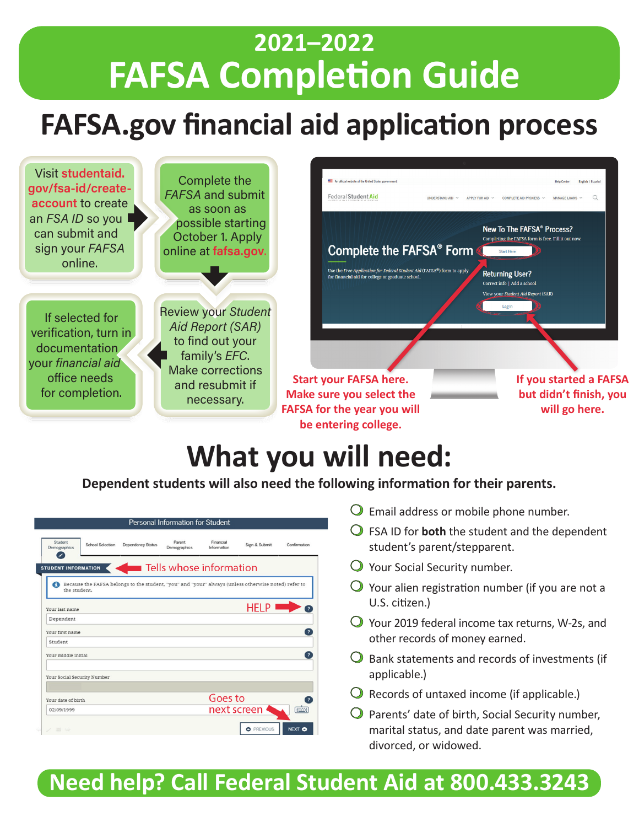## **2021–2022 FAFSA Completion Guide**

## **FAFSA.gov financial aid application process**



# **What you will need:**

**Dependent students will also need the following information for their parents.**

|                             |                         |                                                                                                     | Personal Information for Student |                          |                   |                         |
|-----------------------------|-------------------------|-----------------------------------------------------------------------------------------------------|----------------------------------|--------------------------|-------------------|-------------------------|
| Student<br>Demographics     | <b>School Selection</b> | <b>Dependency Status</b>                                                                            | Parent<br>Demographics           | Financial<br>Information | Sign & Submit     | Confirmation            |
| <b>STUDENT INFORMATION</b>  |                         | Tells whose information                                                                             |                                  |                          |                   |                         |
| the student.                |                         | Because the FAFSA belongs to the student, "you" and "your" always (unless otherwise noted) refer to |                                  |                          |                   |                         |
| Your last name              |                         |                                                                                                     |                                  |                          | <b>HELP</b>       |                         |
| Dependent                   |                         |                                                                                                     |                                  |                          |                   |                         |
| Your first name             |                         |                                                                                                     |                                  |                          |                   | $\mathbf{P}$            |
| Student                     |                         |                                                                                                     |                                  |                          |                   |                         |
| Your middle initial         |                         |                                                                                                     |                                  |                          |                   | $\overline{\mathbf{z}}$ |
| Your Social Security Number |                         |                                                                                                     |                                  |                          |                   |                         |
| Your date of birth          |                         |                                                                                                     |                                  | Goes to                  |                   | $\overline{\mathbf{z}}$ |
| 02/09/1999                  |                         |                                                                                                     |                                  | next screen              |                   | <b>FWT</b>              |
| $2 = 4$                     |                         |                                                                                                     |                                  |                          | <b>O</b> PREVIOUS | NEXT O                  |

- $\bigcirc$  Email address or mobile phone number.
- $\bigcirc$  FSA ID for **both** the student and the dependent student's parent/stepparent.
- $\bigcirc$  Your Social Security number.
- $\bigcirc$  Your alien registration number (if you are not a U.S. citizen.)
- $\bigcirc$  Your 2019 federal income tax returns, W-2s, and other records of money earned.
- $\bigcirc$  Bank statements and records of investments (if applicable.)
- $\bigcirc$  Records of untaxed income (if applicable.)
- $\bigcirc$  Parents' date of birth, Social Security number, marital status, and date parent was married, divorced, or widowed.

### **Need help? Call Federal Student Aid at 800.433.3243**